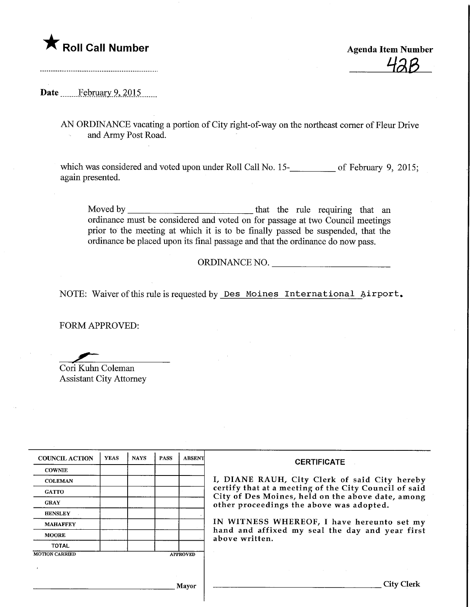

<u>42B</u>

Date February 9, 2015

AN ORDINANCE vacating a portion of City right-of-way on the northeast corner of Fleur Drive and Army Post Road.

which was considered and voted upon under Roll Call No. 15-**\_\_\_\_\_\_\_\_\_** of February 9, 2015; again presented.

Moved by <u>that the rule requiring that an</u> ordinance must be considered and voted on for passage at two Council meetings prior to the meeting at which it is to be finally passed be suspended, that the ordinance be placed upon its final passage and that the ordinance do now pass.

## ORDINANCE NO.

NOTE: Waiver of this rule is requested by Des Moines International airport.

FORM APPROVED:

Cori Kuhn Coleman Assistant City Attorney

| <b>COUNCIL ACTION</b> | <b>YEAS</b> | <b>NAYS</b> | <b>PASS</b> | <b>ABSENT</b>   | <b>CERTIFICATE</b><br>I, DIANE RAUH, City Clerk of said City hereby<br>certify that at a meeting of the City Council of said<br>City of Des Moines, held on the above date, among<br>other proceedings the above was adopted. |  |
|-----------------------|-------------|-------------|-------------|-----------------|-------------------------------------------------------------------------------------------------------------------------------------------------------------------------------------------------------------------------------|--|
| <b>COWNIE</b>         |             |             |             |                 |                                                                                                                                                                                                                               |  |
| <b>COLEMAN</b>        |             |             |             |                 |                                                                                                                                                                                                                               |  |
| <b>GATTO</b>          |             |             |             |                 |                                                                                                                                                                                                                               |  |
| <b>GRAY</b>           |             |             |             |                 |                                                                                                                                                                                                                               |  |
| <b>HENSLEY</b>        |             |             |             |                 |                                                                                                                                                                                                                               |  |
| <b>MAHAFFEY</b>       |             |             |             |                 | IN WITNESS WHEREOF, I have hereunto set my<br>hand and affixed my seal the day and year first<br>above written.                                                                                                               |  |
| <b>MOORE</b>          |             |             |             |                 |                                                                                                                                                                                                                               |  |
| <b>TOTAL</b>          |             |             |             |                 |                                                                                                                                                                                                                               |  |
| <b>MOTION CARRIED</b> |             |             |             | <b>APPROVED</b> |                                                                                                                                                                                                                               |  |
|                       |             |             |             |                 |                                                                                                                                                                                                                               |  |
|                       |             |             |             | Mayor           | City Clerk                                                                                                                                                                                                                    |  |